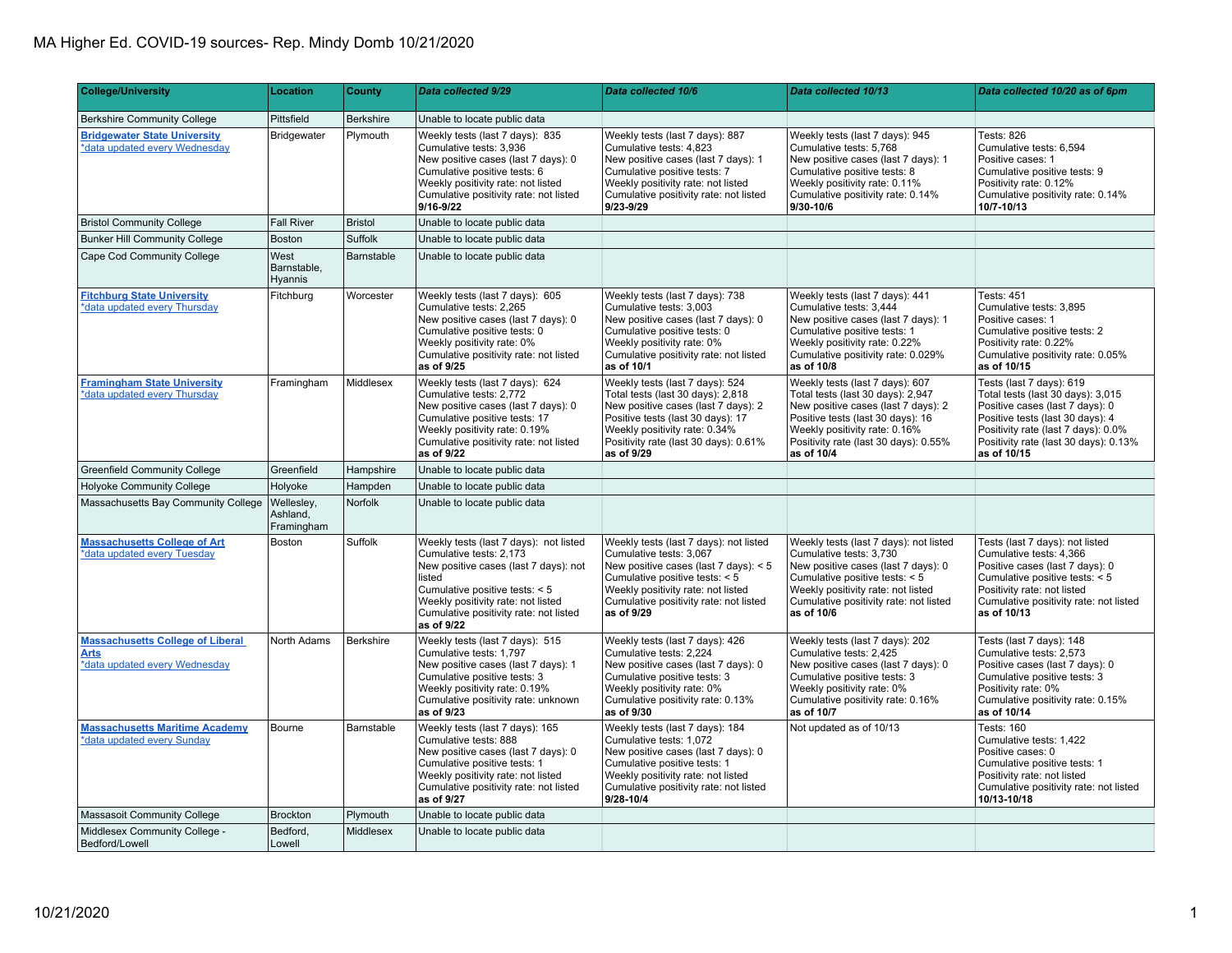## MA Higher Ed. COVID-19 sources- Rep. Mindy Domb 10/21/2020

| <b>College/University</b>                                                        | Location                             | County         | <b>Data collected 9/29</b>                                                                                                                                                                                                                           | Data collected 10/6                                                                                                                                                                                                                          | Data collected 10/13                                                                                                                                                                                                                     | Data collected 10/20 as of 6pm                                                                                                                                                                                                      |
|----------------------------------------------------------------------------------|--------------------------------------|----------------|------------------------------------------------------------------------------------------------------------------------------------------------------------------------------------------------------------------------------------------------------|----------------------------------------------------------------------------------------------------------------------------------------------------------------------------------------------------------------------------------------------|------------------------------------------------------------------------------------------------------------------------------------------------------------------------------------------------------------------------------------------|-------------------------------------------------------------------------------------------------------------------------------------------------------------------------------------------------------------------------------------|
| <b>Berkshire Community College</b>                                               | Pittsfield                           | Berkshire      | Unable to locate public data                                                                                                                                                                                                                         |                                                                                                                                                                                                                                              |                                                                                                                                                                                                                                          |                                                                                                                                                                                                                                     |
| <b>Bridgewater State University</b><br>*data updated every Wednesday             | Bridgewater                          | Plymouth       | Weekly tests (last 7 days): 835<br>Cumulative tests: 3,936<br>New positive cases (last 7 days): 0<br>Cumulative positive tests: 6<br>Weekly positivity rate: not listed<br>Cumulative positivity rate: not listed<br>9/16-9/22                       | Weekly tests (last 7 days): 887<br>Cumulative tests: 4,823<br>New positive cases (last 7 days): 1<br>Cumulative positive tests: 7<br>Weekly positivity rate: not listed<br>Cumulative positivity rate: not listed<br>9/23-9/29               | Weekly tests (last 7 days): 945<br>Cumulative tests: 5,768<br>New positive cases (last 7 days): 1<br>Cumulative positive tests: 8<br>Weekly positivity rate: 0.11%<br>Cumulative positivity rate: 0.14%<br>9/30-10/6                     | Tests: 826<br>Cumulative tests: 6,594<br>Positive cases: 1<br>Cumulative positive tests: 9<br>Positivity rate: 0.12%<br>Cumulative positivity rate: 0.14%<br>10/7-10/13                                                             |
| <b>Bristol Community College</b>                                                 | <b>Fall River</b>                    | <b>Bristol</b> | Unable to locate public data                                                                                                                                                                                                                         |                                                                                                                                                                                                                                              |                                                                                                                                                                                                                                          |                                                                                                                                                                                                                                     |
| <b>Bunker Hill Community College</b>                                             | Boston                               | Suffolk        | Unable to locate public data                                                                                                                                                                                                                         |                                                                                                                                                                                                                                              |                                                                                                                                                                                                                                          |                                                                                                                                                                                                                                     |
| Cape Cod Community College                                                       | West<br>Barnstable,<br>Hyannis       | Barnstable     | Unable to locate public data                                                                                                                                                                                                                         |                                                                                                                                                                                                                                              |                                                                                                                                                                                                                                          |                                                                                                                                                                                                                                     |
| <b>Fitchburg State University</b><br>*data updated every Thursday                | Fitchburg                            | Worcester      | Weekly tests (last 7 days): 605<br>Cumulative tests: 2.265<br>New positive cases (last 7 days): 0<br>Cumulative positive tests: 0<br>Weekly positivity rate: 0%<br>Cumulative positivity rate: not listed<br>as of 9/25                              | Weekly tests (last 7 days): 738<br>Cumulative tests: 3,003<br>New positive cases (last 7 days): 0<br>Cumulative positive tests: 0<br>Weekly positivity rate: 0%<br>Cumulative positivity rate: not listed<br>as of 10/1                      | Weekly tests (last 7 days): 441<br>Cumulative tests: 3.444<br>New positive cases (last 7 days): 1<br>Cumulative positive tests: 1<br>Weekly positivity rate: 0.22%<br>Cumulative positivity rate: 0.029%<br>as of 10/8                   | Tests: 451<br>Cumulative tests: 3.895<br>Positive cases: 1<br>Cumulative positive tests: 2<br>Positivity rate: 0.22%<br>Cumulative positivity rate: 0.05%<br>as of 10/15                                                            |
| <b>Framingham State University</b><br>*data updated every Thursday               | Framingham                           | Middlesex      | Weekly tests (last 7 days): 624<br>Cumulative tests: 2,772<br>New positive cases (last 7 days): 0<br>Cumulative positive tests: 17<br>Weekly positivity rate: 0.19%<br>Cumulative positivity rate: not listed<br>as of 9/22                          | Weekly tests (last 7 days): 524<br>Total tests (last 30 days): 2,818<br>New positive cases (last 7 days): 2<br>Positive tests (last 30 days): 17<br>Weekly positivity rate: 0.34%<br>Positivity rate (last 30 days): 0.61%<br>as of 9/29     | Weekly tests (last 7 days): 607<br>Total tests (last 30 days): 2,947<br>New positive cases (last 7 days): 2<br>Positive tests (last 30 days): 16<br>Weekly positivity rate: 0.16%<br>Positivity rate (last 30 days): 0.55%<br>as of 10/4 | Tests (last 7 days): 619<br>Total tests (last 30 days): 3,015<br>Positive cases (last 7 days): 0<br>Positive tests (last 30 days): 4<br>Positivity rate (last 7 days): 0.0%<br>Positivity rate (last 30 days): 0.13%<br>as of 10/15 |
| <b>Greenfield Community College</b>                                              | Greenfield                           | Hampshire      | Unable to locate public data                                                                                                                                                                                                                         |                                                                                                                                                                                                                                              |                                                                                                                                                                                                                                          |                                                                                                                                                                                                                                     |
| <b>Holyoke Community College</b>                                                 | Holyoke                              | Hampden        | Unable to locate public data                                                                                                                                                                                                                         |                                                                                                                                                                                                                                              |                                                                                                                                                                                                                                          |                                                                                                                                                                                                                                     |
| Massachusetts Bay Community College                                              | Wellesley,<br>Ashland,<br>Framingham | Norfolk        | Unable to locate public data                                                                                                                                                                                                                         |                                                                                                                                                                                                                                              |                                                                                                                                                                                                                                          |                                                                                                                                                                                                                                     |
| <b>Massachusetts College of Art</b><br>*data updated every Tuesday               | Boston                               | Suffolk        | Weekly tests (last 7 days): not listed<br>Cumulative tests: 2,173<br>New positive cases (last 7 days): not<br>listed<br>Cumulative positive tests: < 5<br>Weekly positivity rate: not listed<br>Cumulative positivity rate: not listed<br>as of 9/22 | Weekly tests (last 7 days): not listed<br>Cumulative tests: 3,067<br>New positive cases (last 7 days): $<$ 5<br>Cumulative positive tests: < 5<br>Weekly positivity rate: not listed<br>Cumulative positivity rate: not listed<br>as of 9/29 | Weekly tests (last 7 days): not listed<br>Cumulative tests: 3,730<br>New positive cases (last 7 days): 0<br>Cumulative positive tests: < 5<br>Weekly positivity rate: not listed<br>Cumulative positivity rate: not listed<br>as of 10/6 | Tests (last 7 days): not listed<br>Cumulative tests: 4,366<br>Positive cases (last 7 days): 0<br>Cumulative positive tests: < 5<br>Positivity rate: not listed<br>Cumulative positivity rate: not listed<br>as of 10/13             |
| <b>Massachusetts College of Liberal</b><br>Arts<br>*data updated every Wednesday | North Adams                          | Berkshire      | Weekly tests (last 7 days): 515<br>Cumulative tests: 1,797<br>New positive cases (last 7 days): 1<br>Cumulative positive tests: 3<br>Weekly positivity rate: 0.19%<br>Cumulative positivity rate: unknown<br>as of 9/23                              | Weekly tests (last 7 days): 426<br>Cumulative tests: 2,224<br>New positive cases (last 7 days): 0<br>Cumulative positive tests: 3<br>Weekly positivity rate: 0%<br>Cumulative positivity rate: 0.13%<br>as of 9/30                           | Weekly tests (last 7 days): 202<br>Cumulative tests: 2,425<br>New positive cases (last 7 days): 0<br>Cumulative positive tests: 3<br>Weekly positivity rate: 0%<br>Cumulative positivity rate: 0.16%<br>as of 10/7                       | Tests (last 7 days): 148<br>Cumulative tests: 2,573<br>Positive cases (last 7 days): 0<br>Cumulative positive tests: 3<br>Positivity rate: 0%<br>Cumulative positivity rate: 0.15%<br>as of 10/14                                   |
| <b>Massachusetts Maritime Academy</b><br>*data updated every Sunday              | Bourne                               | Barnstable     | Weekly tests (last 7 days): 165<br>Cumulative tests: 888<br>New positive cases (last 7 days): 0<br>Cumulative positive tests: 1<br>Weekly positivity rate: not listed<br>Cumulative positivity rate: not listed<br>as of 9/27                        | Weekly tests (last 7 days): 184<br>Cumulative tests: 1,072<br>New positive cases (last 7 days): 0<br>Cumulative positive tests: 1<br>Weekly positivity rate: not listed<br>Cumulative positivity rate: not listed<br>9/28-10/4               | Not updated as of 10/13                                                                                                                                                                                                                  | Tests: 160<br>Cumulative tests: 1,422<br>Positive cases: 0<br>Cumulative positive tests: 1<br>Positivity rate: not listed<br>Cumulative positivity rate: not listed<br>10/13-10/18                                                  |
| Massasoit Community College                                                      | <b>Brockton</b>                      | Plymouth       | Unable to locate public data                                                                                                                                                                                                                         |                                                                                                                                                                                                                                              |                                                                                                                                                                                                                                          |                                                                                                                                                                                                                                     |
| Middlesex Community College -<br>Bedford/Lowell                                  | Bedford.<br>Lowell                   | Middlesex      | Unable to locate public data                                                                                                                                                                                                                         |                                                                                                                                                                                                                                              |                                                                                                                                                                                                                                          |                                                                                                                                                                                                                                     |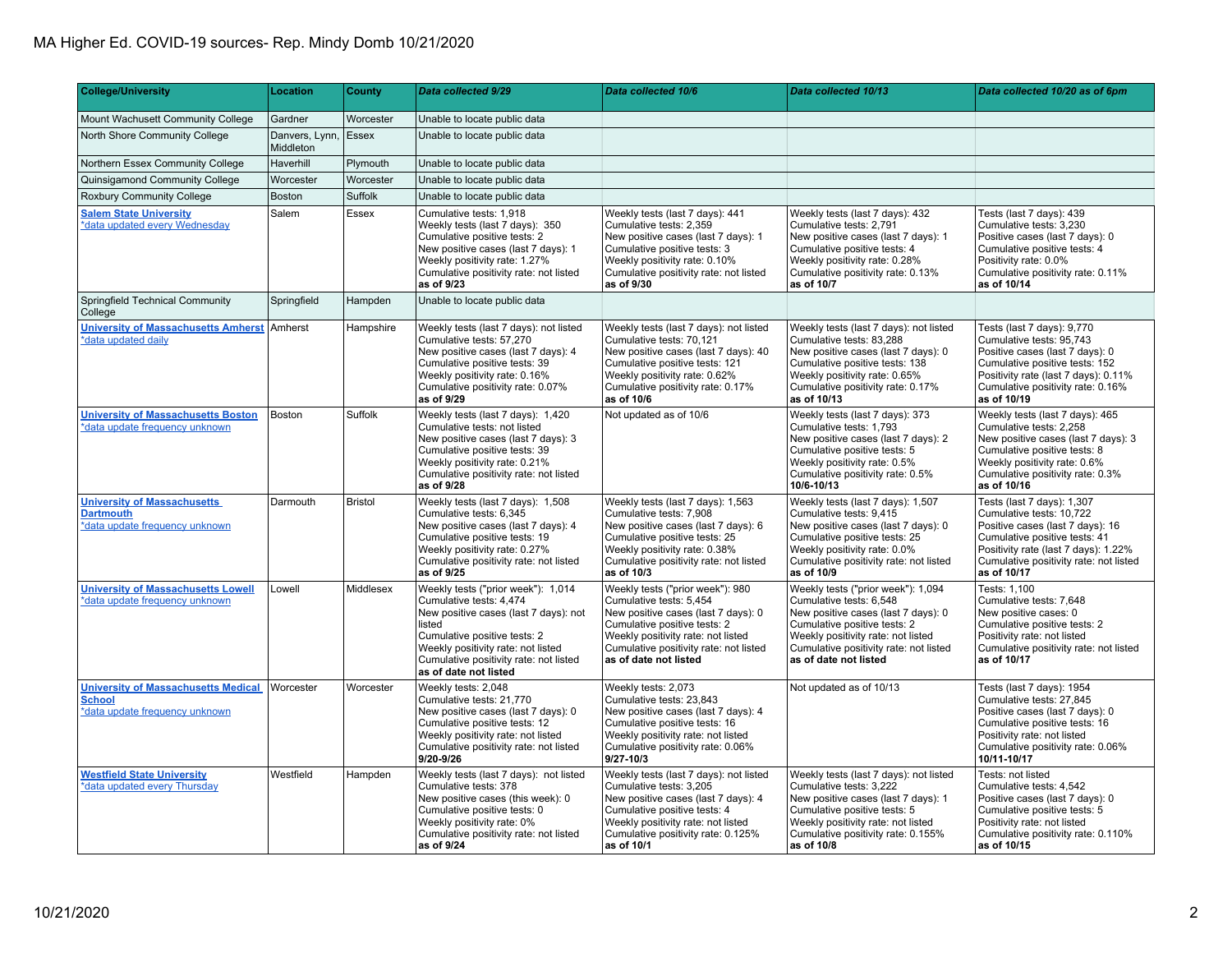## MA Higher Ed. COVID-19 sources- Rep. Mindy Domb 10/21/2020

| <b>College/University</b>                                                                     | <b>Location</b>             | County    | Data collected 9/29                                                                                                                                                                                                                                       | Data collected 10/6                                                                                                                                                                                                                         | Data collected 10/13                                                                                                                                                                                                                          | Data collected 10/20 as of 6pm                                                                                                                                                                                               |
|-----------------------------------------------------------------------------------------------|-----------------------------|-----------|-----------------------------------------------------------------------------------------------------------------------------------------------------------------------------------------------------------------------------------------------------------|---------------------------------------------------------------------------------------------------------------------------------------------------------------------------------------------------------------------------------------------|-----------------------------------------------------------------------------------------------------------------------------------------------------------------------------------------------------------------------------------------------|------------------------------------------------------------------------------------------------------------------------------------------------------------------------------------------------------------------------------|
| Mount Wachusett Community College                                                             | Gardner                     | Worcester | Unable to locate public data                                                                                                                                                                                                                              |                                                                                                                                                                                                                                             |                                                                                                                                                                                                                                               |                                                                                                                                                                                                                              |
| North Shore Community College                                                                 | Danvers, Lynn,<br>Middleton | Essex     | Unable to locate public data                                                                                                                                                                                                                              |                                                                                                                                                                                                                                             |                                                                                                                                                                                                                                               |                                                                                                                                                                                                                              |
| Northern Essex Community College                                                              | Haverhill                   | Plymouth  | Unable to locate public data                                                                                                                                                                                                                              |                                                                                                                                                                                                                                             |                                                                                                                                                                                                                                               |                                                                                                                                                                                                                              |
| Quinsigamond Community College                                                                | Worcester                   | Worcester | Unable to locate public data                                                                                                                                                                                                                              |                                                                                                                                                                                                                                             |                                                                                                                                                                                                                                               |                                                                                                                                                                                                                              |
| Roxbury Community College                                                                     | Boston                      | Suffolk   | Unable to locate public data                                                                                                                                                                                                                              |                                                                                                                                                                                                                                             |                                                                                                                                                                                                                                               |                                                                                                                                                                                                                              |
| <b>Salem State University</b><br>*data updated every Wednesday                                | Salem                       | Essex     | Cumulative tests: 1,918<br>Weekly tests (last 7 days): 350<br>Cumulative positive tests: 2<br>New positive cases (last 7 days): 1<br>Weekly positivity rate: 1.27%<br>Cumulative positivity rate: not listed<br>as of 9/23                                | Weekly tests (last 7 days): 441<br>Cumulative tests: 2.359<br>New positive cases (last 7 days): 1<br>Cumulative positive tests: 3<br>Weekly positivity rate: 0.10%<br>Cumulative positivity rate: not listed<br>as of 9/30                  | Weekly tests (last 7 days): 432<br>Cumulative tests: 2.791<br>New positive cases (last 7 days): 1<br>Cumulative positive tests: 4<br>Weekly positivity rate: 0.28%<br>Cumulative positivity rate: 0.13%<br>as of 10/7                         | Tests (last 7 days): 439<br>Cumulative tests: 3.230<br>Positive cases (last 7 days): 0<br>Cumulative positive tests: 4<br>Positivity rate: 0.0%<br>Cumulative positivity rate: 0.11%<br>as of 10/14                          |
| Springfield Technical Community<br>College                                                    | Springfield                 | Hampden   | Unable to locate public data                                                                                                                                                                                                                              |                                                                                                                                                                                                                                             |                                                                                                                                                                                                                                               |                                                                                                                                                                                                                              |
| <b>University of Massachusetts Amherst Amherst</b><br>*data updated daily                     |                             | Hampshire | Weekly tests (last 7 days): not listed<br>Cumulative tests: 57,270<br>New positive cases (last 7 days): 4<br>Cumulative positive tests: 39<br>Weekly positivity rate: 0.16%<br>Cumulative positivity rate: 0.07%<br>as of 9/29                            | Weekly tests (last 7 days): not listed<br>Cumulative tests: 70,121<br>New positive cases (last 7 days): 40<br>Cumulative positive tests: 121<br>Weekly positivity rate: 0.62%<br>Cumulative positivity rate: 0.17%<br>as of 10/6            | Weekly tests (last 7 days): not listed<br>Cumulative tests: 83,288<br>New positive cases (last 7 days): 0<br>Cumulative positive tests: 138<br>Weekly positivity rate: 0.65%<br>Cumulative positivity rate: 0.17%<br>as of 10/13              | Tests (last 7 days): 9,770<br>Cumulative tests: 95,743<br>Positive cases (last 7 days): 0<br>Cumulative positive tests: 152<br>Positivity rate (last 7 days): 0.11%<br>Cumulative positivity rate: 0.16%<br>as of 10/19      |
| <b>University of Massachusetts Boston</b><br>*data update frequency unknown                   | Boston                      | Suffolk   | Weekly tests (last 7 days): 1,420<br>Cumulative tests: not listed<br>New positive cases (last 7 days): 3<br>Cumulative positive tests: 39<br>Weekly positivity rate: 0.21%<br>Cumulative positivity rate: not listed<br>as of 9/28                        | Not updated as of 10/6                                                                                                                                                                                                                      | Weekly tests (last 7 days): 373<br>Cumulative tests: 1.793<br>New positive cases (last 7 days): 2<br>Cumulative positive tests: 5<br>Weekly positivity rate: 0.5%<br>Cumulative positivity rate: 0.5%<br>10/6-10/13                           | Weekly tests (last 7 days): 465<br>Cumulative tests: 2.258<br>New positive cases (last 7 days): 3<br>Cumulative positive tests: 8<br>Weekly positivity rate: 0.6%<br>Cumulative positivity rate: 0.3%<br>as of 10/16         |
| <b>University of Massachusetts</b><br><b>Dartmouth</b><br>*data update frequency unknown      | Darmouth                    | Bristol   | Weekly tests (last 7 days): 1,508<br>Cumulative tests: 6,345<br>New positive cases (last 7 days): 4<br>Cumulative positive tests: 19<br>Weekly positivity rate: 0.27%<br>Cumulative positivity rate: not listed<br>as of 9/25                             | Weekly tests (last 7 days): 1,563<br>Cumulative tests: 7,908<br>New positive cases (last 7 days): 6<br>Cumulative positive tests: 25<br>Weekly positivity rate: 0.38%<br>Cumulative positivity rate: not listed<br>as of 10/3               | Weekly tests (last 7 days): 1,507<br>Cumulative tests: 9,415<br>New positive cases (last 7 days): 0<br>Cumulative positive tests: 25<br>Weekly positivity rate: 0.0%<br>Cumulative positivity rate: not listed<br>as of 10/9                  | Tests (last 7 days): 1,307<br>Cumulative tests: 10,722<br>Positive cases (last 7 days): 16<br>Cumulative positive tests: 41<br>Positivity rate (last 7 days): 1.22%<br>Cumulative positivity rate: not listed<br>as of 10/17 |
| <b>University of Massachusetts Lowell</b><br>*data update frequency unknown                   | Lowell                      | Middlesex | Weekly tests ("prior week"): 1,014<br>Cumulative tests: 4,474<br>New positive cases (last 7 days): not<br>listed<br>Cumulative positive tests: 2<br>Weekly positivity rate: not listed<br>Cumulative positivity rate: not listed<br>as of date not listed | Weekly tests ("prior week"): 980<br>Cumulative tests: 5,454<br>New positive cases (last 7 days): 0<br>Cumulative positive tests: 2<br>Weekly positivity rate: not listed<br>Cumulative positivity rate: not listed<br>as of date not listed | Weekly tests ("prior week"): 1,094<br>Cumulative tests: 6,548<br>New positive cases (last 7 days): 0<br>Cumulative positive tests: 2<br>Weekly positivity rate: not listed<br>Cumulative positivity rate: not listed<br>as of date not listed | Tests: 1,100<br>Cumulative tests: 7,648<br>New positive cases: 0<br>Cumulative positive tests: 2<br>Positivity rate: not listed<br>Cumulative positivity rate: not listed<br>as of 10/17                                     |
| <b>University of Massachusetts Medical</b><br><b>School</b><br>*data update frequency unknown | Worcester                   | Worcester | Weekly tests: 2.048<br>Cumulative tests: 21,770<br>New positive cases (last 7 days): 0<br>Cumulative positive tests: 12<br>Weekly positivity rate: not listed<br>Cumulative positivity rate: not listed<br>9/20-9/26                                      | Weekly tests: 2,073<br>Cumulative tests: 23,843<br>New positive cases (last 7 days): 4<br>Cumulative positive tests: 16<br>Weekly positivity rate: not listed<br>Cumulative positivity rate: 0.06%<br>$9/27 - 10/3$                         | Not updated as of 10/13                                                                                                                                                                                                                       | Tests (last 7 days): 1954<br>Cumulative tests: 27,845<br>Positive cases (last 7 days): 0<br>Cumulative positive tests: 16<br>Positivity rate: not listed<br>Cumulative positivity rate: 0.06%<br>10/11-10/17                 |
| <b>Westfield State University</b><br>*data updated every Thursday                             | Westfield                   | Hampden   | Weekly tests (last 7 days): not listed<br>Cumulative tests: 378<br>New positive cases (this week): 0<br>Cumulative positive tests: 0<br>Weekly positivity rate: 0%<br>Cumulative positivity rate: not listed<br>as of 9/24                                | Weekly tests (last 7 days): not listed<br>Cumulative tests: 3,205<br>New positive cases (last 7 days): 4<br>Cumulative positive tests: 4<br>Weekly positivity rate: not listed<br>Cumulative positivity rate: 0.125%<br>as of 10/1          | Weekly tests (last 7 days): not listed<br>Cumulative tests: 3,222<br>New positive cases (last 7 days): 1<br>Cumulative positive tests: 5<br>Weekly positivity rate: not listed<br>Cumulative positivity rate: 0.155%<br>as of 10/8            | Tests: not listed<br>Cumulative tests: 4,542<br>Positive cases (last 7 days): 0<br>Cumulative positive tests: 5<br>Positivity rate: not listed<br>Cumulative positivity rate: 0.110%<br>as of 10/15                          |